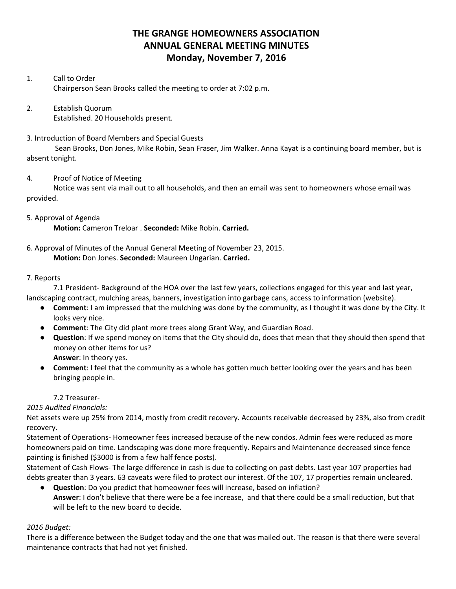# **THE GRANGE HOMEOWNERS ASSOCIATION ANNUAL GENERAL MEETING MINUTES Monday, November 7, 2016**

### 1. Call to Order Chairperson Sean Brooks called the meeting to order at 7:02 p.m.

2. Establish Quorum Established. 20 Households present.

#### 3. Introduction of Board Members and Special Guests

Sean Brooks, Don Jones, Mike Robin, Sean Fraser, Jim Walker. Anna Kayat is a continuing board member, but is absent tonight.

### 4. Proof of Notice of Meeting

Notice was sent via mail out to all households, and then an email was sent to homeowners whose email was provided.

## 5. Approval of Agenda

**Motion:** Cameron Treloar . **Seconded:** Mike Robin. **Carried.**

## 6. Approval of Minutes of the Annual General Meeting of November 23, 2015.

**Motion:** Don Jones. **Seconded:** Maureen Ungarian. **Carried.**

### 7. Reports

7.1 President- Background of the HOA over the last few years, collections engaged for this year and last year, landscaping contract, mulching areas, banners, investigation into garbage cans, access to information (website).

- **Comment**: I am impressed that the mulching was done by the community, as I thought it was done by the City. It looks very nice.
- **Comment**: The City did plant more trees along Grant Way, and Guardian Road.
- **Question**: If we spend money on items that the City should do, does that mean that they should then spend that money on other items for us? **Answer**: In theory yes.
- **Comment**: I feel that the community as a whole has gotten much better looking over the years and has been bringing people in.

## 7.2 Treasurer-

*2015 Audited Financials:*

Net assets were up 25% from 2014, mostly from credit recovery. Accounts receivable decreased by 23%, also from credit recovery.

Statement of Operations- Homeowner fees increased because of the new condos. Admin fees were reduced as more homeowners paid on time. Landscaping was done more frequently. Repairs and Maintenance decreased since fence painting is finished (\$3000 is from a few half fence posts).

Statement of Cash Flows- The large difference in cash is due to collecting on past debts. Last year 107 properties had debts greater than 3 years. 63 caveats were filed to protect our interest. Of the 107, 17 properties remain uncleared.

**Question**: Do you predict that homeowner fees will increase, based on inflation? **Answer**: I don't believe that there were be a fee increase, and that there could be a small reduction, but that will be left to the new board to decide.

## *2016 Budget:*

There is a difference between the Budget today and the one that was mailed out. The reason is that there were several maintenance contracts that had not yet finished.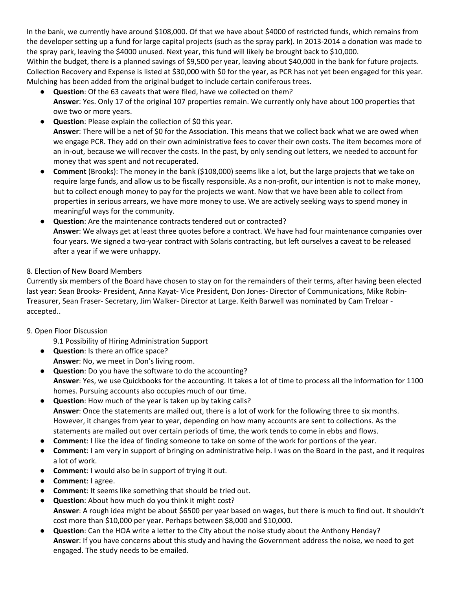In the bank, we currently have around \$108,000. Of that we have about \$4000 of restricted funds, which remains from the developer setting up a fund for large capital projects (such as the spray park). In 2013-2014 a donation was made to the spray park, leaving the \$4000 unused. Next year, this fund will likely be brought back to \$10,000.

Within the budget, there is a planned savings of \$9,500 per year, leaving about \$40,000 in the bank for future projects. Collection Recovery and Expense is listed at \$30,000 with \$0 for the year, as PCR has not yet been engaged for this year. Mulching has been added from the original budget to include certain coniferous trees.

- **Question**: Of the 63 caveats that were filed, have we collected on them? **Answer**: Yes. Only 17 of the original 107 properties remain. We currently only have about 100 properties that owe two or more years.
- **Question**: Please explain the collection of \$0 this year.

**Answer**: There will be a net of \$0 for the Association. This means that we collect back what we are owed when we engage PCR. They add on their own administrative fees to cover their own costs. The item becomes more of an in-out, because we will recover the costs. In the past, by only sending out letters, we needed to account for money that was spent and not recuperated.

- **Comment** (Brooks): The money in the bank (\$108,000) seems like a lot, but the large projects that we take on require large funds, and allow us to be fiscally responsible. As a non-profit, our intention is not to make money, but to collect enough money to pay for the projects we want. Now that we have been able to collect from properties in serious arrears, we have more money to use. We are actively seeking ways to spend money in meaningful ways for the community.
- **Question**: Are the maintenance contracts tendered out or contracted? **Answer**: We always get at least three quotes before a contract. We have had four maintenance companies over four years. We signed a two-year contract with Solaris contracting, but left ourselves a caveat to be released after a year if we were unhappy.

## 8. Election of New Board Members

Currently six members of the Board have chosen to stay on for the remainders of their terms, after having been elected last year: Sean Brooks- President, Anna Kayat- Vice President, Don Jones- Director of Communications, Mike Robin-Treasurer, Sean Fraser- Secretary, Jim Walker- Director at Large. Keith Barwell was nominated by Cam Treloar accepted..

## 9. Open Floor Discussion

- 9.1 Possibility of Hiring Administration Support
- **Question**: Is there an office space? **Answer**: No, we meet in Don's living room.
- **Question**: Do you have the software to do the accounting? **Answer**: Yes, we use Quickbooks for the accounting. It takes a lot of time to process all the information for 1100 homes. Pursuing accounts also occupies much of our time.
- **Question**: How much of the year is taken up by taking calls? **Answer**: Once the statements are mailed out, there is a lot of work for the following three to six months. However, it changes from year to year, depending on how many accounts are sent to collections. As the statements are mailed out over certain periods of time, the work tends to come in ebbs and flows.
- **Comment**: I like the idea of finding someone to take on some of the work for portions of the year.
- **Comment**: I am very in support of bringing on administrative help. I was on the Board in the past, and it requires a lot of work.
- **Comment**: I would also be in support of trying it out.
- **Comment**: I agree.
- **Comment**: It seems like something that should be tried out.
- **Question**: About how much do you think it might cost? **Answer**: A rough idea might be about \$6500 per year based on wages, but there is much to find out. It shouldn't cost more than \$10,000 per year. Perhaps between \$8,000 and \$10,000.
- **Question**: Can the HOA write a letter to the City about the noise study about the Anthony Henday? **Answer**: If you have concerns about this study and having the Government address the noise, we need to get engaged. The study needs to be emailed.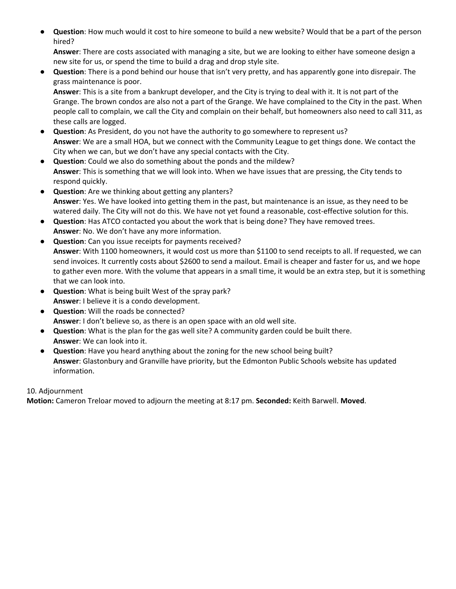**Question**: How much would it cost to hire someone to build a new website? Would that be a part of the person hired?

**Answer**: There are costs associated with managing a site, but we are looking to either have someone design a new site for us, or spend the time to build a drag and drop style site.

● **Question**: There is a pond behind our house that isn't very pretty, and has apparently gone into disrepair. The grass maintenance is poor.

**Answer**: This is a site from a bankrupt developer, and the City is trying to deal with it. It is not part of the Grange. The brown condos are also not a part of the Grange. We have complained to the City in the past. When people call to complain, we call the City and complain on their behalf, but homeowners also need to call 311, as these calls are logged.

- **Question**: As President, do you not have the authority to go somewhere to represent us? **Answer**: We are a small HOA, but we connect with the Community League to get things done. We contact the City when we can, but we don't have any special contacts with the City.
- **Question**: Could we also do something about the ponds and the mildew? **Answer**: This is something that we will look into. When we have issues that are pressing, the City tends to respond quickly.
- **Question**: Are we thinking about getting any planters? **Answer**: Yes. We have looked into getting them in the past, but maintenance is an issue, as they need to be watered daily. The City will not do this. We have not yet found a reasonable, cost-effective solution for this.
- **Question**: Has ATCO contacted you about the work that is being done? They have removed trees. **Answer**: No. We don't have any more information.
- **Question**: Can you issue receipts for payments received? **Answer**: With 1100 homeowners, it would cost us more than \$1100 to send receipts to all. If requested, we can send invoices. It currently costs about \$2600 to send a mailout. Email is cheaper and faster for us, and we hope to gather even more. With the volume that appears in a small time, it would be an extra step, but it is something that we can look into.
- **Question**: What is being built West of the spray park? **Answer**: I believe it is a condo development.
- **Question**: Will the roads be connected? **Answer**: I don't believe so, as there is an open space with an old well site.
- **Question**: What is the plan for the gas well site? A community garden could be built there. **Answer**: We can look into it.
- **Question**: Have you heard anything about the zoning for the new school being built? **Answer**: Glastonbury and Granville have priority, but the Edmonton Public Schools website has updated information.

## 10. Adjournment

**Motion:** Cameron Treloar moved to adjourn the meeting at 8:17 pm. **Seconded:** Keith Barwell. **Moved**.